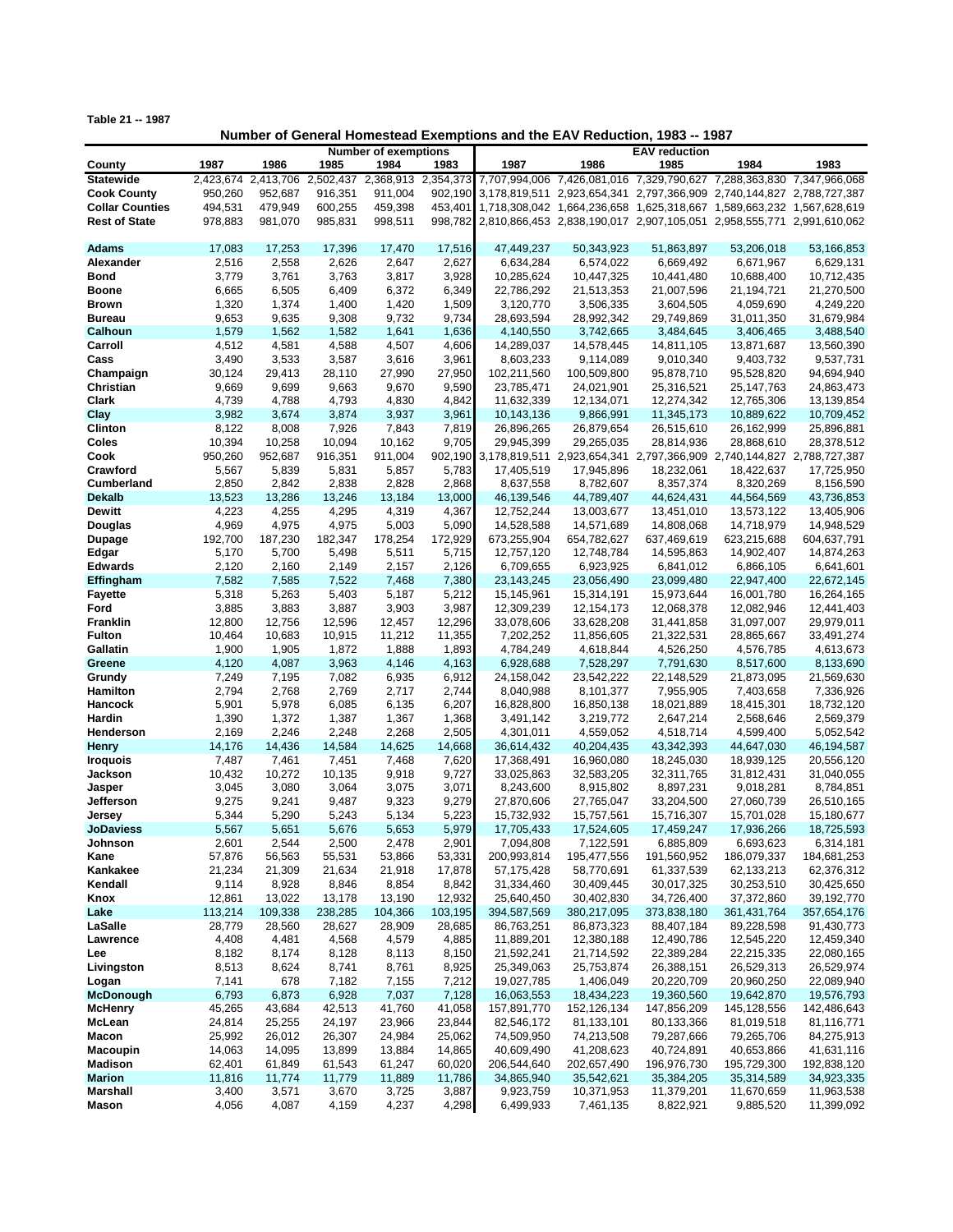**Table 21 -- 1987**

**Number of General Homestead Exemptions and the EAV Reduction, 1983 -- 1987**

|                        |                     | <b>Number of exemptions</b> |           |                     |         | <b>EAV</b> reduction                                                          |              |                                                                       |             |               |
|------------------------|---------------------|-----------------------------|-----------|---------------------|---------|-------------------------------------------------------------------------------|--------------|-----------------------------------------------------------------------|-------------|---------------|
| County                 | 1987                | 1986                        | 1985      | 1984                | 1983    | 1987                                                                          | 1986         | 1985                                                                  | 1984        | 1983          |
| <b>Statewide</b>       | 2,423,674 2,413,706 |                             | 2,502,437 | 2,368,913 2,354,373 |         |                                                                               |              | 7,707,994,006 7,426,081,016 7,329,790,627 7,288,363,830               |             | 7,347,966,068 |
| <b>Cook County</b>     | 950,260             | 952,687                     | 916,351   | 911,004             |         | 902,190 3,178,819,511 2,923,654,341 2,797,366,909 2,740,144,827 2,788,727,387 |              |                                                                       |             |               |
| <b>Collar Counties</b> | 494,531             | 479,949                     | 600,255   | 459,398             | 453,401 |                                                                               |              | 1,718,308,042 1,664,236,658 1,625,318,667 1,589,663,232 1,567,628,619 |             |               |
| <b>Rest of State</b>   | 978,883             |                             |           |                     |         |                                                                               |              |                                                                       |             |               |
|                        |                     | 981,070                     | 985,831   | 998,511             |         | 998,782 2,810,866,453 2,838,190,017 2,907,105,051 2,958,555,771 2,991,610,062 |              |                                                                       |             |               |
|                        |                     |                             |           |                     |         |                                                                               |              |                                                                       |             |               |
| Adams                  | 17,083              | 17,253                      | 17,396    | 17,470              | 17,516  | 47,449,237                                                                    | 50,343,923   | 51,863,897                                                            | 53,206,018  | 53,166,853    |
| Alexander              | 2,516               | 2,558                       | 2,626     | 2,647               | 2,627   | 6,634,284                                                                     | 6,574,022    | 6,669,492                                                             | 6,671,967   | 6,629,131     |
| <b>Bond</b>            | 3,779               | 3,761                       | 3,763     | 3,817               | 3,928   | 10,285,624                                                                    | 10,447,325   | 10,441,480                                                            | 10,688,400  | 10,712,435    |
| <b>Boone</b>           | 6,665               | 6,505                       | 6,409     | 6,372               | 6,349   | 22,786,292                                                                    | 21,513,353   | 21,007,596                                                            | 21,194,721  | 21,270,500    |
| <b>Brown</b>           | 1,320               | 1,374                       | 1,400     | 1,420               | 1,509   | 3,120,770                                                                     | 3,506,335    | 3,604,505                                                             | 4,059,690   | 4,249,220     |
| <b>Bureau</b>          | 9,653               | 9,635                       | 9,308     | 9,732               | 9,734   | 28,693,594                                                                    | 28,992,342   | 29,749,869                                                            | 31,011,350  | 31,679,984    |
| Calhoun                | 1,579               | 1,562                       | 1,582     | 1,641               | 1,636   | 4,140,550                                                                     | 3,742,665    | 3,484,645                                                             | 3,406,465   | 3,488,540     |
|                        |                     |                             |           |                     |         |                                                                               |              |                                                                       |             |               |
| Carroll                | 4,512               | 4,581                       | 4,588     | 4,507               | 4,606   | 14,289,037                                                                    | 14,578,445   | 14,811,105                                                            | 13,871,687  | 13,560,390    |
| Cass                   | 3,490               | 3,533                       | 3,587     | 3,616               | 3,961   | 8,603,233                                                                     | 9,114,089    | 9,010,340                                                             | 9,403,732   | 9,537,731     |
| Champaign              | 30,124              | 29,413                      | 28,110    | 27,990              | 27,950  | 102,211,560                                                                   | 100,509,800  | 95,878,710                                                            | 95,528,820  | 94,694,940    |
| Christian              | 9,669               | 9,699                       | 9,663     | 9,670               | 9,590   | 23,785,471                                                                    | 24,021,901   | 25,316,521                                                            | 25,147,763  | 24,863,473    |
| Clark                  | 4,739               | 4,788                       | 4,793     | 4,830               | 4,842   | 11,632,339                                                                    | 12,134,071   | 12,274,342                                                            | 12,765,306  | 13,139,854    |
| Clay                   | 3,982               | 3,674                       | 3,874     | 3,937               | 3,961   | 10,143,136                                                                    | 9,866,991    | 11,345,173                                                            | 10,889,622  | 10,709,452    |
| Clinton                | 8,122               | 8,008                       | 7,926     | 7,843               | 7,819   | 26,896,265                                                                    | 26,879,654   | 26,515,610                                                            | 26,162,999  | 25,896,881    |
| Coles                  | 10,394              | 10,258                      | 10,094    | 10,162              | 9,705   | 29,945,399                                                                    | 29,265,035   | 28,814,936                                                            | 28,868,610  | 28,378,512    |
|                        |                     |                             |           |                     |         |                                                                               |              |                                                                       |             |               |
| Cook                   | 950,260             | 952,687                     | 916,351   | 911,004             |         | 902,190 3,178,819,511 2,923,654,341 2,797,366,909 2,740,144,827 2,788,727,387 |              |                                                                       |             |               |
| Crawford               | 5,567               | 5,839                       | 5,831     | 5,857               | 5,783   | 17,405,519                                                                    | 17,945,896   | 18,232,061                                                            | 18,422,637  | 17,725,950    |
| <b>Cumberland</b>      | 2,850               | 2,842                       | 2,838     | 2,828               | 2,868   | 8,637,558                                                                     | 8,782,607    | 8,357,374                                                             | 8,320,269   | 8,156,590     |
| <b>Dekalb</b>          | 13,523              | 13,286                      | 13,246    | 13,184              | 13,000  | 46,139,546                                                                    | 44,789,407   | 44,624,431                                                            | 44,564,569  | 43,736,853    |
| <b>Dewitt</b>          | 4,223               | 4,255                       | 4,295     | 4,319               | 4,367   | 12,752,244                                                                    | 13,003,677   | 13,451,010                                                            | 13,573,122  | 13,405,906    |
| Douglas                | 4,969               | 4,975                       | 4,975     | 5,003               | 5,090   | 14,528,588                                                                    | 14,571,689   | 14,808,068                                                            | 14,718,979  | 14,948,529    |
| <b>Dupage</b>          | 192,700             | 187,230                     | 182,347   | 178,254             | 172,929 | 673,255,904                                                                   | 654,782,627  | 637,469,619                                                           | 623,215,688 | 604,637,791   |
| Edgar                  | 5,170               | 5,700                       | 5,498     | 5,511               | 5,715   | 12,757,120                                                                    | 12,748,784   | 14,595,863                                                            | 14,902,407  | 14,874,263    |
| <b>Edwards</b>         |                     |                             |           |                     |         |                                                                               |              |                                                                       |             |               |
|                        | 2,120               | 2,160                       | 2,149     | 2,157               | 2,126   | 6,709,655                                                                     | 6,923,925    | 6,841,012                                                             | 6,866,105   | 6,641,601     |
| Effingham              | 7,582               | 7,585                       | 7,522     | 7,468               | 7,380   | 23, 143, 245                                                                  | 23,056,490   | 23,099,480                                                            | 22,947,400  | 22,672,145    |
| <b>Fayette</b>         | 5,318               | 5,263                       | 5,403     | 5,187               | 5,212   | 15,145,961                                                                    | 15,314,191   | 15,973,644                                                            | 16,001,780  | 16,264,165    |
| Ford                   | 3,885               | 3,883                       | 3,887     | 3,903               | 3,987   | 12,309,239                                                                    | 12, 154, 173 | 12,068,378                                                            | 12,082,946  | 12,441,403    |
| Franklin               | 12,800              | 12,756                      | 12,596    | 12,457              | 12,296  | 33,078,606                                                                    | 33,628,208   | 31,441,858                                                            | 31,097,007  | 29,979,011    |
| <b>Fulton</b>          | 10,464              | 10,683                      | 10,915    | 11,212              | 11,355  | 7,202,252                                                                     | 11,856,605   | 21,322,531                                                            | 28,865,667  | 33,491,274    |
| Gallatin               | 1,900               | 1,905                       | 1,872     | 1,888               | 1,893   | 4,784,249                                                                     | 4,618,844    | 4,526,250                                                             | 4,576,785   | 4,613,673     |
| Greene                 | 4,120               | 4,087                       | 3,963     | 4,146               | 4,163   | 6,928,688                                                                     | 7,528,297    | 7,791,630                                                             | 8,517,600   | 8,133,690     |
| Grundy                 | 7,249               | 7,195                       | 7,082     | 6,935               | 6,912   | 24,158,042                                                                    | 23,542,222   | 22,148,529                                                            | 21,873,095  | 21,569,630    |
| Hamilton               | 2,794               | 2,768                       | 2,769     | 2,717               | 2,744   | 8,040,988                                                                     | 8,101,377    | 7,955,905                                                             | 7,403,658   | 7,336,926     |
|                        |                     |                             |           |                     |         |                                                                               |              |                                                                       |             |               |
| Hancock                | 5,901               | 5,978                       | 6,085     | 6,135               | 6,207   | 16,828,800                                                                    | 16,850,138   | 18,021,889                                                            | 18,415,301  | 18,732,120    |
| Hardin                 | 1,390               | 1,372                       | 1,387     | 1,367               | 1,368   | 3,491,142                                                                     | 3,219,772    | 2,647,214                                                             | 2,568,646   | 2,569,379     |
| Henderson              | 2,169               | 2,246                       | 2,248     | 2,268               | 2,505   | 4,301,011                                                                     | 4,559,052    | 4,518,714                                                             | 4,599,400   | 5,052,542     |
| <b>Henry</b>           | 14,176              | 14,436                      | 14,584    | 14,625              | 14,668  | 36,614,432                                                                    | 40,204,435   | 43,342,393                                                            | 44,647,030  | 46,194,587    |
| <b>Iroquois</b>        | 7,487               | 7,461                       | 7,451     | 7,468               | 7,620   | 17,368,491                                                                    | 16,960,080   | 18,245,030                                                            | 18,939,125  | 20,556,120    |
| Jackson                | 10,432              | 10,272                      | 10,135    | 9,918               | 9,727   | 33,025,863                                                                    | 32,583,205   | 32,311,765                                                            | 31,812,431  | 31,040,055    |
| Jasper                 | 3,045               | 3,080                       | 3,064     | 3,075               | 3,071   | 8,243,600                                                                     | 8,915,802    | 8,897,231                                                             | 9,018,281   | 8,784,851     |
| Jefferson              | 9,275               | 9,241                       | 9,487     | 9,323               | 9,279   | 27,870,606                                                                    | 27,765,047   | 33,204,500                                                            | 27,060,739  | 26,510,165    |
| Jersey                 | 5,344               | 5,290                       | 5,243     | 5,134               | 5,223   | 15,732,932                                                                    | 15,757,561   | 15,716,307                                                            | 15,701,028  | 15,180,677    |
| <b>JoDaviess</b>       | 5,567               | 5,651                       | 5,676     | 5,653               | 5,979   | 17,705,433                                                                    | 17,524,605   | 17,459,247                                                            | 17,936,266  | 18,725,593    |
|                        |                     |                             |           |                     |         |                                                                               |              |                                                                       |             |               |
| Johnson                | 2,601               | 2,544                       | 2,500     | 2,478               | 2,901   | 7,094,808                                                                     | 7,122,591    | 6,885,809                                                             | 6,693,623   | 6,314,181     |
| Kane                   | 57,876              | 56,563                      | 55,531    | 53,866              | 53,331  | 200,993,814                                                                   | 195,477,556  | 191,560,952                                                           | 186,079,337 | 184,681,253   |
| Kankakee               | 21,234              | 21,309                      | 21,634    | 21,918              | 17,878  | 57,175,428                                                                    | 58,770,691   | 61,337,539                                                            | 62,133,213  | 62,376,312    |
| Kendall                | 9,114               | 8,928                       | 8,846     | 8,854               | 8,842   | 31,334,460                                                                    | 30,409,445   | 30,017,325                                                            | 30,253,510  | 30,425,650    |
| Knox                   | 12,861              | 13,022                      | 13,178    | 13,190              | 12,932  | 25,640,450                                                                    | 30,402,830   | 34,726,400                                                            | 37,372,860  | 39,192,770    |
| Lake                   | 113,214             | 109,338                     | 238,285   | 104,366             | 103,195 | 394,587,569                                                                   | 380,217,095  | 373,838,180                                                           | 361,431,764 | 357,654,176   |
| LaSalle                | 28,779              | 28,560                      | 28,627    | 28,909              | 28,685  | 86,763,251                                                                    | 86,873,323   | 88,407,184                                                            | 89,228,598  | 91,430,773    |
| Lawrence               | 4,408               | 4,481                       | 4,568     | 4,579               | 4,885   | 11,889,201                                                                    | 12,380,188   | 12,490,786                                                            | 12,545,220  | 12,459,340    |
| Lee                    | 8,182               | 8,174                       | 8,128     | 8,113               | 8,150   | 21,592,241                                                                    | 21,714,592   | 22,389,284                                                            | 22,215,335  | 22,080,165    |
|                        |                     |                             |           |                     |         |                                                                               |              |                                                                       |             |               |
| Livingston             | 8,513               | 8,624                       | 8,741     | 8,761               | 8,925   | 25,349,063                                                                    | 25,753,874   | 26,388,151                                                            | 26,529,313  | 26,529,974    |
| Logan                  | 7,141               | 678                         | 7,182     | 7,155               | 7,212   | 19,027,785                                                                    | 1,406,049    | 20,220,709                                                            | 20,960,250  | 22,089,940    |
| <b>McDonough</b>       | 6,793               | 6,873                       | 6,928     | 7,037               | 7,128   | 16,063,553                                                                    | 18,434,223   | 19,360,560                                                            | 19,642,870  | 19,576,793    |
| <b>McHenry</b>         | 45,265              | 43,684                      | 42,513    | 41,760              | 41,058  | 157,891,770                                                                   | 152,126,134  | 147,856,209                                                           | 145,128,556 | 142,486,643   |
| McLean                 | 24,814              | 25,255                      | 24,197    | 23,966              | 23,844  | 82,546,172                                                                    | 81,133,101   | 80,133,366                                                            | 81,019,518  | 81,116,771    |
| <b>Macon</b>           | 25,992              | 26,012                      | 26,307    | 24,984              | 25,062  | 74,509,950                                                                    | 74,213,508   | 79,287,666                                                            | 79,265,706  | 84,275,913    |
| <b>Macoupin</b>        | 14,063              | 14,095                      | 13,899    | 13,884              | 14,865  | 40,609,490                                                                    | 41,208,623   | 40,724,891                                                            | 40,653,866  | 41,631,116    |
| Madison                | 62,401              | 61,849                      | 61,543    | 61,247              | 60,020  | 206,544,640                                                                   | 202,657,490  | 196,976,730                                                           | 195,729,300 | 192,838,120   |
| <b>Marion</b>          |                     |                             |           |                     | 11,786  |                                                                               | 35,542,621   | 35,384,205                                                            | 35,314,589  | 34,923,335    |
|                        | 11,816              | 11,774                      | 11,779    | 11,889              |         | 34,865,940                                                                    |              |                                                                       |             |               |
| <b>Marshall</b>        | 3,400               | 3,571                       | 3,670     | 3,725               | 3,887   | 9,923,759                                                                     | 10,371,953   | 11,379,201                                                            | 11,670,659  | 11,963,538    |
| Mason                  | 4,056               | 4,087                       | 4,159     | 4,237               | 4,298   | 6,499,933                                                                     | 7,461,135    | 8,822,921                                                             | 9,885,520   | 11,399,092    |